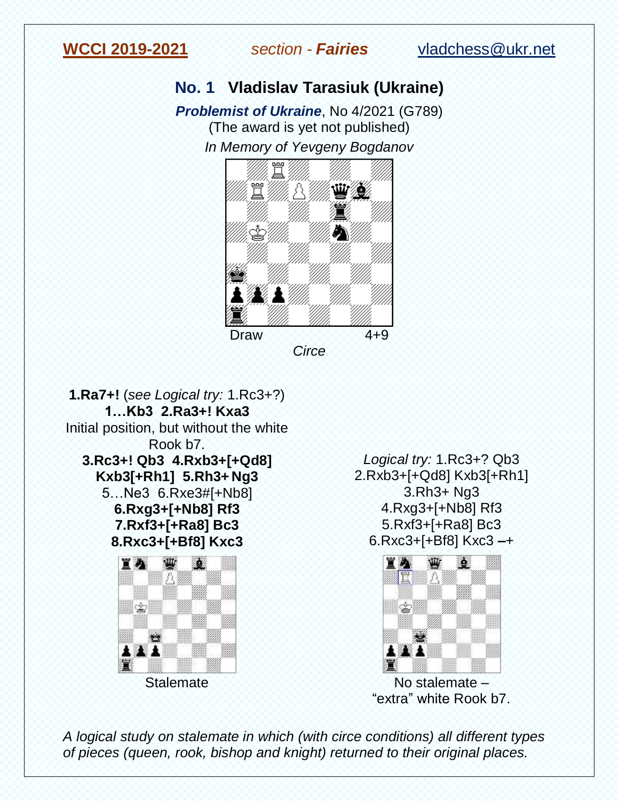

## **No. 1 Vladislav Tarasiuk (Ukraine)**

*Problemist of Ukraine*, No 4/2021 (G789) (The award is yet not published) *In Memory of Yevgeny Bogdanov*



**1.Ra7+!** (*see Logical try:* 1.Rc3+?) **1…Kb3 2.Ra3+! Kxa3** Initial position, but without the white Rook b7. **3.Rc3+! Qb3 4.Rxb3+[+Qd8] Kxb3[+Rh1] 5.Rh3+ Ng3**  5…Ne3 6.Rxe3#[+Nb8] **6.Rxg3+[+Nb8] Rf3 7.Rxf3+[+Ra8] Bc3 8.Rxc3+[+Bf8] Kxc3**  官办 ₩ 30G 八 ♔

**Stalemate** 

*Logical try:* 1.Rc3+? Qb3 2.Rxb3+[+Qd8] Kxb3[+Rh1] 3.Rh3+ Ng3 4.Rxg3+[+Nb8] Rf3 5.Rxf3+[+Ra8] Bc3 6.Rxc3+[+Bf8] Kxc3 **–**+



"extra" white Rook b7.

*A logical study on stalemate in which (with circe conditions) all different types of pieces (queen, rook, bishop and knight) returned to their original places.*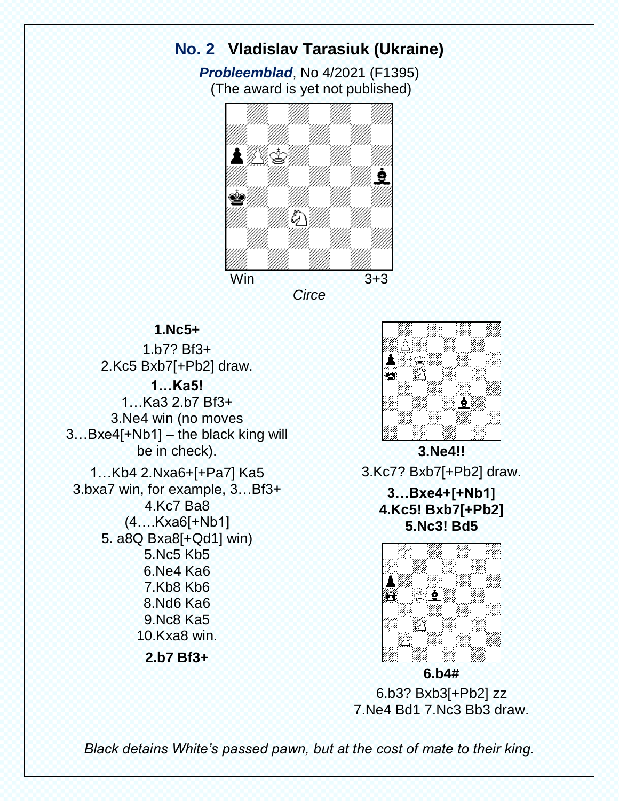# **No. 2 Vladislav Tarasiuk (Ukraine)**

*Probleemblad*, No 4/2021 (F1395) (The award is yet not published)



*Circe*

### **1.Nc5+**

1.b7? Bf3+ 2.Kc5 Bxb7[+Pb2] draw. **1…Ka5!** 1…Ka3 2.b7 Bf3+ 3.Ne4 win (no moves 3…Bxe4[+Nb1] – the black king will be in check). 1…Kb4 2.Nxa6+[+Pa7] Ka5 3.bxa7 win, for example, 3…Bf3+ 4.Kc7 Ba8 (4….Kxa6[+Nb1] 5. a8Q Bxa8[+Qd1] win) 5.Nc5 Kb5 6.Ne4 Ka6 7.Kb8 Kb6 8.Nd6 Ka6 9.Nc8 Ka5 10.Kxa8 win.

**2.b7 Bf3+**



**3.Ne4!!** 3.Kc7? Bxb7[+Pb2] draw.

**3…Bxe4+[+Nb1] 4.Kc5! Bxb7[+Pb2] 5.Nс3! Bd5**



6.b3? Bxb3[+Pb2] zz 7.Ne4 Bd1 7.Nc3 Bb3 draw.

*Black detains White's passed pawn, but at the cost of mate to their king.*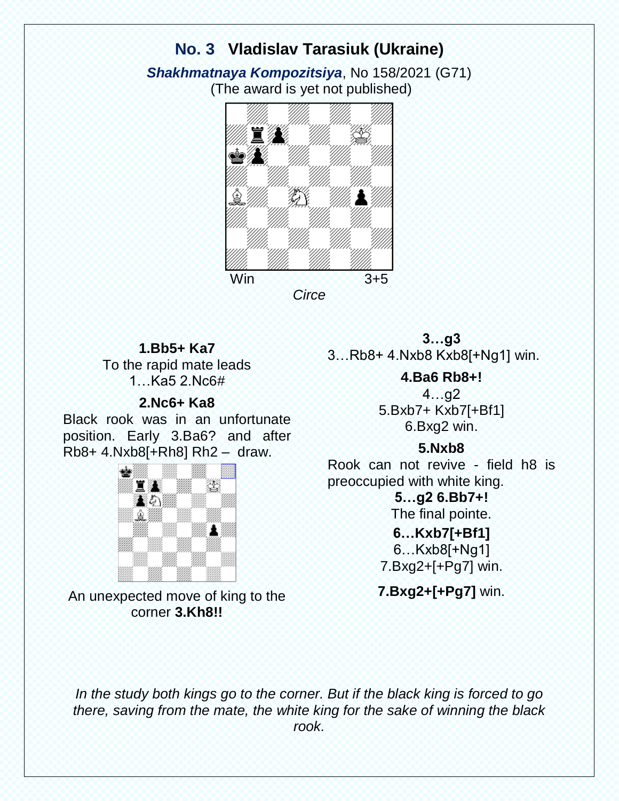# **No. 3 Vladislav Tarasiuk (Ukraine)**

*Shakhmatnaya Kompozitsiya*, No 158/2021 (G71) (The award is yet not published)





#### **1.Bb5+ Ka7**

To the rapid mate leads 1…Ka5 2.Nc6#

#### **2.Nc6+ Ka8**

Black rook was in an unfortunate position. Early 3.Ba6? and after Rb8+ 4.Nxb8[+Rh8] Rh2 – draw.



An unexpected move of king to the corner **3.Kh8!!**

**3…g3** 3…Rb8+ 4.Nxb8 Kxb8[+Ng1] win.

> **4.Ba6 Rb8+!** 4…g2 5.Bxb7+ Kxb7[+Bf1] 6.Bxg2 win.

#### **5.Nxb8**

Rook can not revive - field h8 is preoccupied with white king.

**5…g2 6.Bb7+!**

The final pointe.

**6…Kxb7[+Bf1]** 6…Kxb8[+Ng1] 7.Bxg2+[+Pg7] win.

**7.Bxg2+[+Pg7]** win.

*In the study both kings go to the corner. But if the black king is forced to go there, saving from the mate, the white king for the sake of winning the black rook.*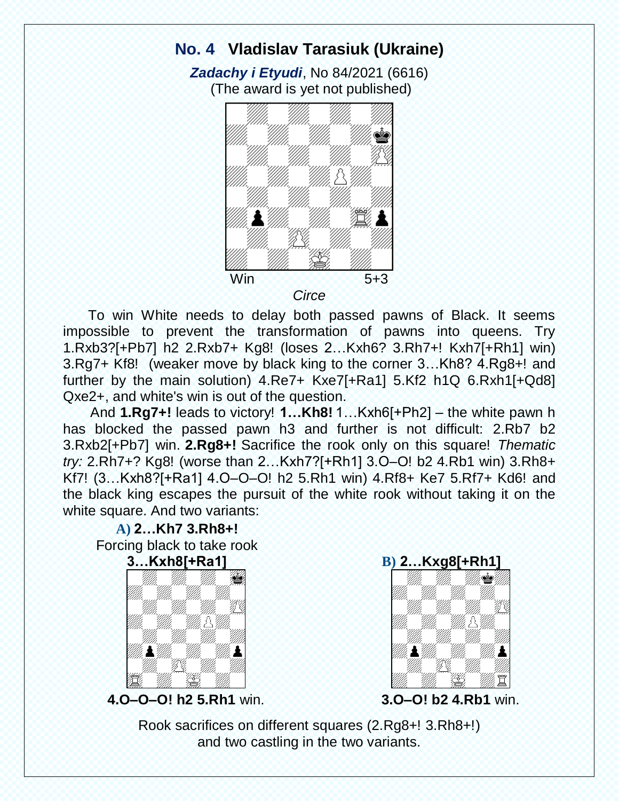## **No. 4 Vladislav Tarasiuk (Ukraine)**

*Zadachy i Etyudi*, No 84/2021 (6616) (The award is yet not published)



 To win White needs to delay both passed pawns of Black. It seems impossible to prevent the transformation of pawns into queens. Try 1.Rxb3?[+Pb7] h2 2.Rxb7+ Kg8! (loses 2…Kxh6? 3.Rh7+! Kxh7[+Rh1] win) 3.Rg7+ Kf8! (weaker move by black king to the corner 3…Kh8? 4.Rg8+! and further by the main solution) 4.Re7+ Kxe7[+Ra1] 5.Kf2 h1Q 6.Rxh1[+Qd8] Qxe2+, and white's win is out of the question.

 And **1.Rg7+!** leads to victory! **1…Kh8!** 1…Kxh6[+Ph2] – the white pawn h has blocked the passed pawn h3 and further is not difficult: 2.Rb7 b2 3.Rxb2[+Pb7] win. **2.Rg8+!** Sacrifice the rook only on this square! *Thematic try:* 2.Rh7+? Kg8! (worse than 2…Kxh7?[+Rh1] 3.O–O! b2 4.Rb1 win) 3.Rh8+ Kf7! (3…Kxh8?[+Ra1] 4.O–O–O! h2 5.Rh1 win) 4.Rf8+ Ke7 5.Rf7+ Kd6! and the black king escapes the pursuit of the white rook without taking it on the white square. And two variants:





**4.O–O–O! h2 5.Rh1** win.



**3.O–O! b2 4.Rb1** win.

Rook sacrifices on different squares (2.Rg8+! 3.Rh8+!) and two castling in the two variants.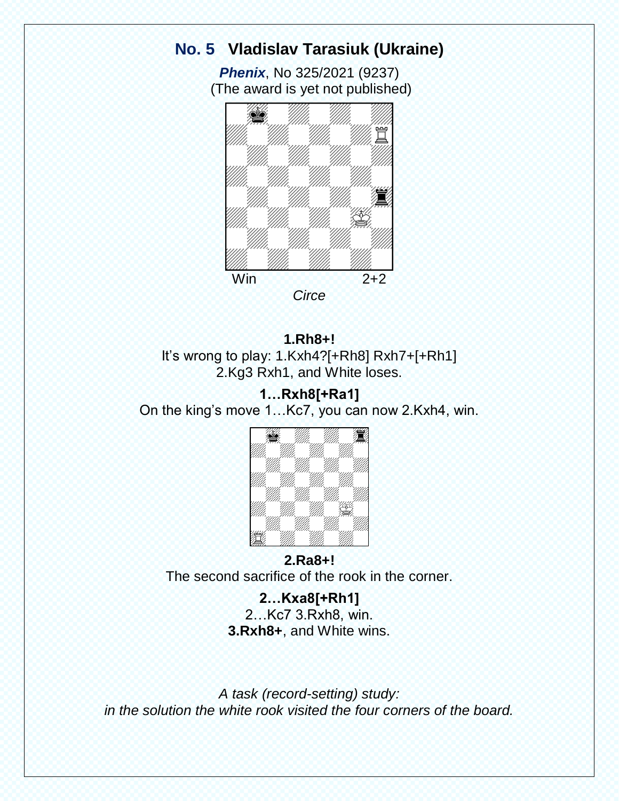# **No. 5 Vladislav Tarasiuk (Ukraine)**

*Phenix*, No 325/2021 (9237) (The award is yet not published)



**1.Rh8+!** It's wrong to play: 1.Kxh4?[+Rh8] Rxh7+[+Rh1] 2.Kg3 Rxh1, and White loses.

#### **1…Rxh8[+Ra1]**  On the king's move 1…Kc7, you can now 2.Kxh4, win.



## **2.Ra8+!**  The second sacrifice of the rook in the corner.

**2…Kxa8[+Rh1]**  2…Kc7 3.Rxh8, win. **3.Rxh8+**, and White wins.

*A task (record-setting) study: in the solution the white rook visited the four corners of the board.*